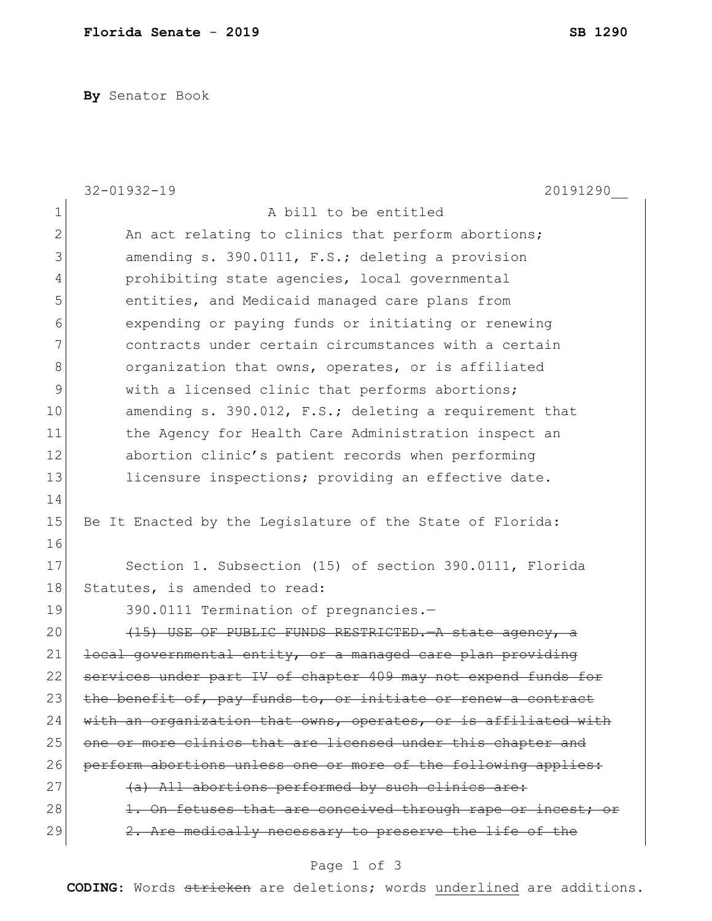**By** Senator Book

|              | $32 - 01932 - 19$<br>20191290                                   |
|--------------|-----------------------------------------------------------------|
| $1\,$        | A bill to be entitled                                           |
| $\mathbf{2}$ | An act relating to clinics that perform abortions;              |
| 3            | amending s. 390.0111, F.S.; deleting a provision                |
| 4            | prohibiting state agencies, local governmental                  |
| 5            | entities, and Medicaid managed care plans from                  |
| 6            | expending or paying funds or initiating or renewing             |
| 7            | contracts under certain circumstances with a certain            |
| 8            | organization that owns, operates, or is affiliated              |
| 9            | with a licensed clinic that performs abortions;                 |
| 10           | amending s. 390.012, F.S.; deleting a requirement that          |
| 11           | the Agency for Health Care Administration inspect an            |
| 12           | abortion clinic's patient records when performing               |
| 13           | licensure inspections; providing an effective date.             |
| 14           |                                                                 |
| 15           | Be It Enacted by the Legislature of the State of Florida:       |
| 16           |                                                                 |
| 17           | Section 1. Subsection (15) of section 390.0111, Florida         |
| 18           | Statutes, is amended to read:                                   |
| 19           | 390.0111 Termination of pregnancies.-                           |
| 20           | (15) USE OF PUBLIC FUNDS RESTRICTED. A state agency, a          |
| 21           | local governmental entity, or a managed care plan providing     |
| 22           | services under part IV of chapter 409 may not expend funds for  |
| 23           | the benefit of, pay funds to, or initiate or renew a contract   |
| 24           | with an organization that owns, operates, or is affiliated with |
| 25           | one or more clinics that are licensed under this chapter and    |
| 26           | perform abortions unless one or more of the following applies:  |
| 27           | (a) All abortions performed by such clinics are:                |
| 28           | 1. On fetuses that are conceived through rape or incest; or     |
| 29           | 2. Are medically necessary to preserve the life of the          |
|              |                                                                 |

## Page 1 of 3

**CODING**: Words stricken are deletions; words underlined are additions.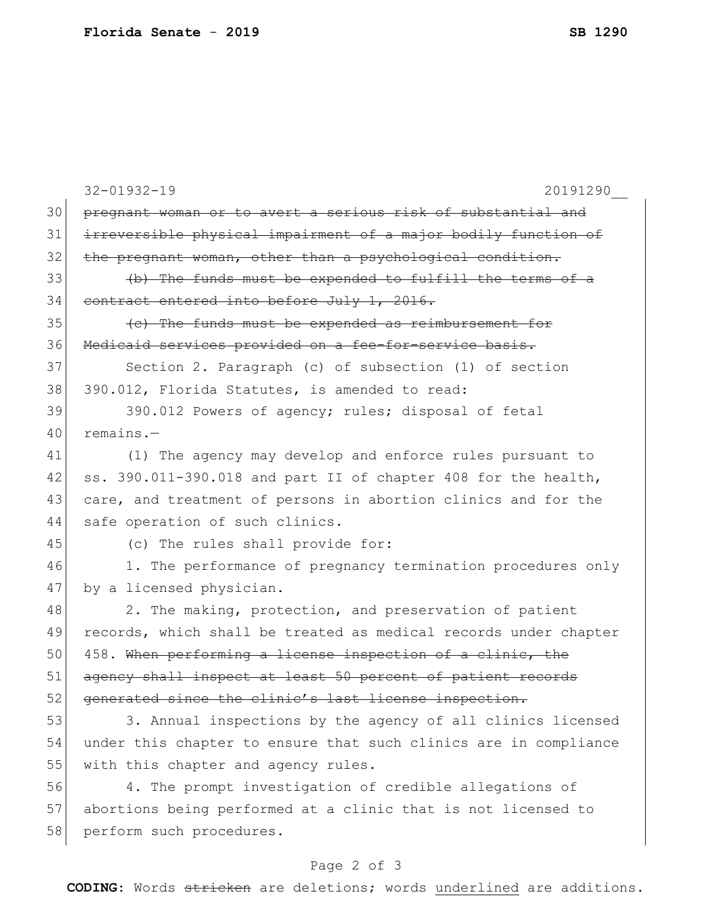|    | $32 - 01932 - 19$<br>20191290                                    |
|----|------------------------------------------------------------------|
| 30 | pregnant woman or to avert a serious risk of substantial and     |
| 31 | irreversible physical impairment of a major bodily function of   |
| 32 | the pregnant woman, other than a psychological condition.        |
| 33 | (b) The funds must be expended to fulfill the terms of a         |
| 34 | contract entered into before July 1, 2016.                       |
| 35 | (c) The funds must be expended as reimbursement for              |
| 36 | Medicaid services provided on a fee-for-service basis.           |
| 37 | Section 2. Paragraph (c) of subsection (1) of section            |
| 38 | 390.012, Florida Statutes, is amended to read:                   |
| 39 | 390.012 Powers of agency; rules; disposal of fetal               |
| 40 | $remains.$ -                                                     |
| 41 | (1) The agency may develop and enforce rules pursuant to         |
| 42 | ss. 390.011-390.018 and part II of chapter 408 for the health,   |
| 43 | care, and treatment of persons in abortion clinics and for the   |
| 44 | safe operation of such clinics.                                  |
| 45 | (c) The rules shall provide for:                                 |
| 46 | 1. The performance of pregnancy termination procedures only      |
| 47 | by a licensed physician.                                         |
| 48 | 2. The making, protection, and preservation of patient           |
| 49 | records, which shall be treated as medical records under chapter |
| 50 | 458. When performing a license inspection of a clinic, the       |
| 51 | agency shall inspect at least 50 percent of patient records      |
| 52 | generated since the clinic's last license inspection.            |
| 53 | 3. Annual inspections by the agency of all clinics licensed      |
| 54 | under this chapter to ensure that such clinics are in compliance |
| 55 | with this chapter and agency rules.                              |
| 56 | 4. The prompt investigation of credible allegations of           |
| 57 | abortions being performed at a clinic that is not licensed to    |
| 58 | perform such procedures.                                         |
|    |                                                                  |

## Page 2 of 3

**CODING**: Words stricken are deletions; words underlined are additions.